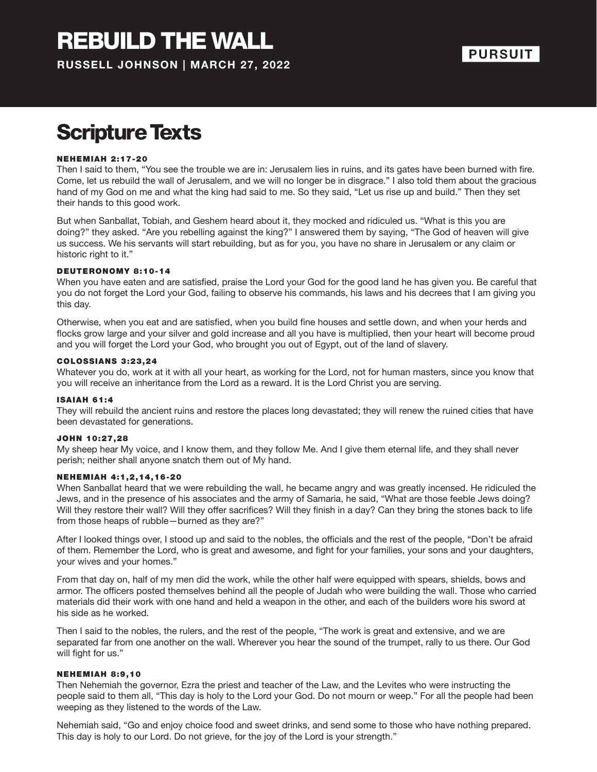## Scripture Texts

#### NEHEMIAH 2:17-20

Then I said to them, "You see the trouble we are in: Jerusalem lies in ruins, and its gates have been burned with fire. Come, let us rebuild the wall of Jerusalem, and we will no longer be in disgrace." I also told them about the gracious hand of my God on me and what the king had said to me. So they said, "Let us rise up and build." Then they set their hands to this good work.

But when Sanballat, Tobiah, and Geshem heard about it, they mocked and ridiculed us. "What is this you are doing?" they asked. "Are you rebelling against the king?" I answered them by saying, "The God of heaven will give us success. We his servants will start rebuilding, but as for you, you have no share in Jerusalem or any claim or historic right to it."

#### DEUTERONOMY 8:10-14

When you have eaten and are satisfied, praise the Lord your God for the good land he has given you. Be careful that you do not forget the Lord your God, failing to observe his commands, his laws and his decrees that I am giving you this day.

Otherwise, when you eat and are satisfied, when you build fine houses and settle down, and when your herds and flocks grow large and your silver and gold increase and all you have is multiplied, then your heart will become proud and you will forget the Lord your God, who brought you out of Egypt, out of the land of slavery.

#### COLOSS IANS 3 :23 ,24

Whatever you do, work at it with all your heart, as working for the Lord, not for human masters, since you know that you will receive an inheritance from the Lord as a reward. It is the Lord Christ you are serving.

#### **ISAIAH 61:4**

They will rebuild the ancient ruins and restore the places long devastated; they will renew the ruined cities that have been devastated for generations.

#### JOHN 10:27,28

My sheep hear My voice, and I know them, and they follow Me. And I give them eternal life, and they shall never perish; neither shall anyone snatch them out of My hand.

#### NEHEMIAH 4:1,2,14,16-20

When Sanballat heard that we were rebuilding the wall, he became angry and was greatly incensed. He ridiculed the Jews, and in the presence of his associates and the army of Samaria, he said, "What are those feeble Jews doing? Will they restore their wall? Will they offer sacrifices? Will they finish in a day? Can they bring the stones back to life from those heaps of rubble—burned as they are?"

After I looked things over, I stood up and said to the nobles, the officials and the rest of the people, "Don't be afraid of them. Remember the Lord, who is great and awesome, and fight for your families, your sons and your daughters, your wives and your homes."

From that day on, half of my men did the work, while the other half were equipped with spears, shields, bows and armor. The officers posted themselves behind all the people of Judah who were building the wall. Those who carried materials did their work with one hand and held a weapon in the other, and each of the builders wore his sword at his side as he worked.

Then I said to the nobles, the rulers, and the rest of the people, "The work is great and extensive, and we are separated far from one another on the wall. Wherever you hear the sound of the trumpet, rally to us there. Our God will fight for us."

#### NEHEMIAH 8:9,10

Then Nehemiah the governor, Ezra the priest and teacher of the Law, and the Levites who were instructing the people said to them all, "This day is holy to the Lord your God. Do not mourn or weep." For all the people had been weeping as they listened to the words of the Law.

Nehemiah said, "Go and enjoy choice food and sweet drinks, and send some to those who have nothing prepared. This day is holy to our Lord. Do not grieve, for the joy of the Lord is your strength."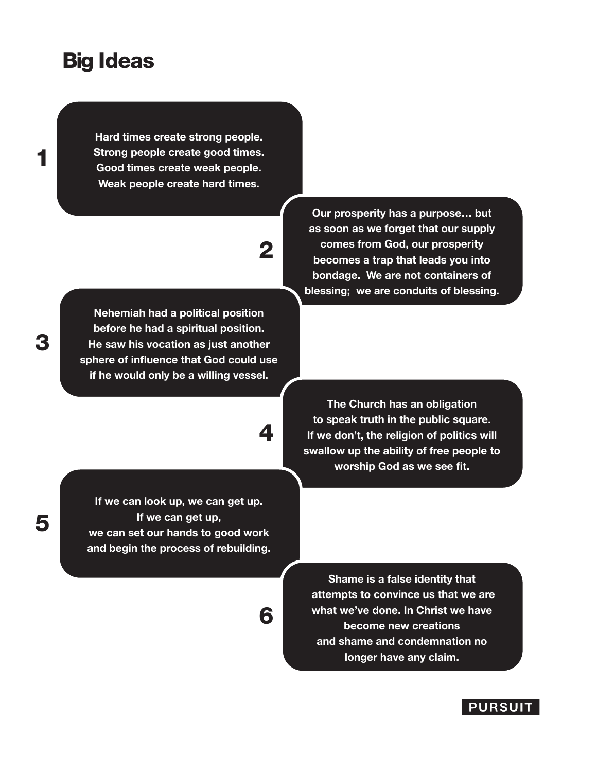### Big Ideas

**Hard times create strong people. Strong people create good times. Good times create weak people. Weak people create hard times.**

# 2

4

**Nehemiah had a political position before he had a spiritual position. He saw his vocation as just another sphere of influence that God could use if he would only be a willing vessel.**

**Our prosperity has a purpose… but as soon as we forget that our supply comes from God, our prosperity becomes a trap that leads you into bondage. We are not containers of blessing; we are conduits of blessing.**

**The Church has an obligation to speak truth in the public square. If we don't, the religion of politics will swallow up the ability of free people to worship God as we see fit.**

**If we can look up, we can get up. If we can get up, we can set our hands to good work and begin the process of rebuilding.** 

> **Shame is a false identity that attempts to convince us that we are what we've done. In Christ we have become new creations and shame and condemnation no longer have any claim.**

6

1

5

### **PURSUIT**